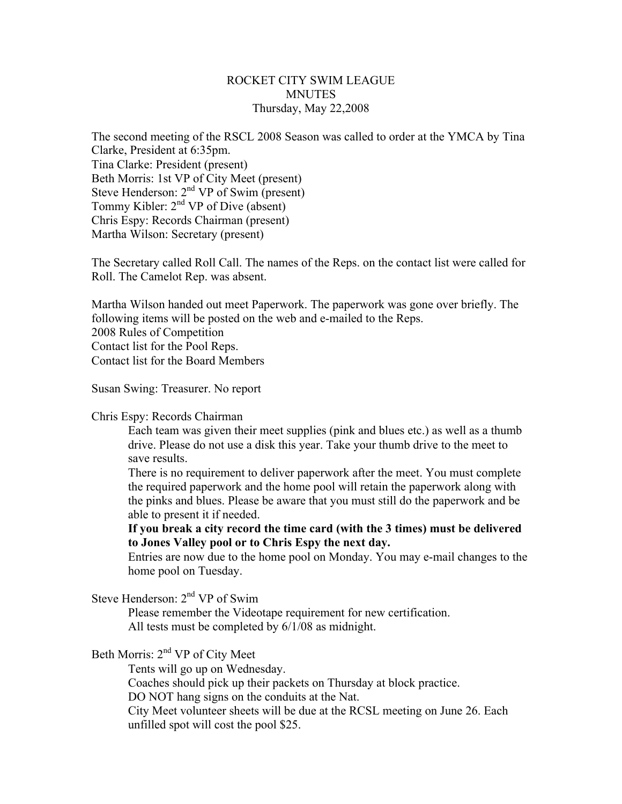## ROCKET CITY SWIM LEAGUE MNUTES Thursday, May 22,2008

The second meeting of the RSCL 2008 Season was called to order at the YMCA by Tina Clarke, President at 6:35pm. Tina Clarke: President (present) Beth Morris: 1st VP of City Meet (present) Steve Henderson: 2<sup>nd</sup> VP of Swim (present) Tommy Kibler: 2<sup>nd</sup> VP of Dive (absent) Chris Espy: Records Chairman (present) Martha Wilson: Secretary (present)

The Secretary called Roll Call. The names of the Reps. on the contact list were called for Roll. The Camelot Rep. was absent.

Martha Wilson handed out meet Paperwork. The paperwork was gone over briefly. The following items will be posted on the web and e-mailed to the Reps. 2008 Rules of Competition Contact list for the Pool Reps. Contact list for the Board Members

Susan Swing: Treasurer. No report

## Chris Espy: Records Chairman

Each team was given their meet supplies (pink and blues etc.) as well as a thumb drive. Please do not use a disk this year. Take your thumb drive to the meet to save results.

There is no requirement to deliver paperwork after the meet. You must complete the required paperwork and the home pool will retain the paperwork along with the pinks and blues. Please be aware that you must still do the paperwork and be able to present it if needed.

**If you break a city record the time card (with the 3 times) must be delivered to Jones Valley pool or to Chris Espy the next day.**

Entries are now due to the home pool on Monday. You may e-mail changes to the home pool on Tuesday.

Steve Henderson: 2<sup>nd</sup> VP of Swim

Please remember the Videotape requirement for new certification. All tests must be completed by 6/1/08 as midnight.

## Beth Morris: 2<sup>nd</sup> VP of City Meet

Tents will go up on Wednesday.

Coaches should pick up their packets on Thursday at block practice.

DO NOT hang signs on the conduits at the Nat.

City Meet volunteer sheets will be due at the RCSL meeting on June 26. Each unfilled spot will cost the pool \$25.